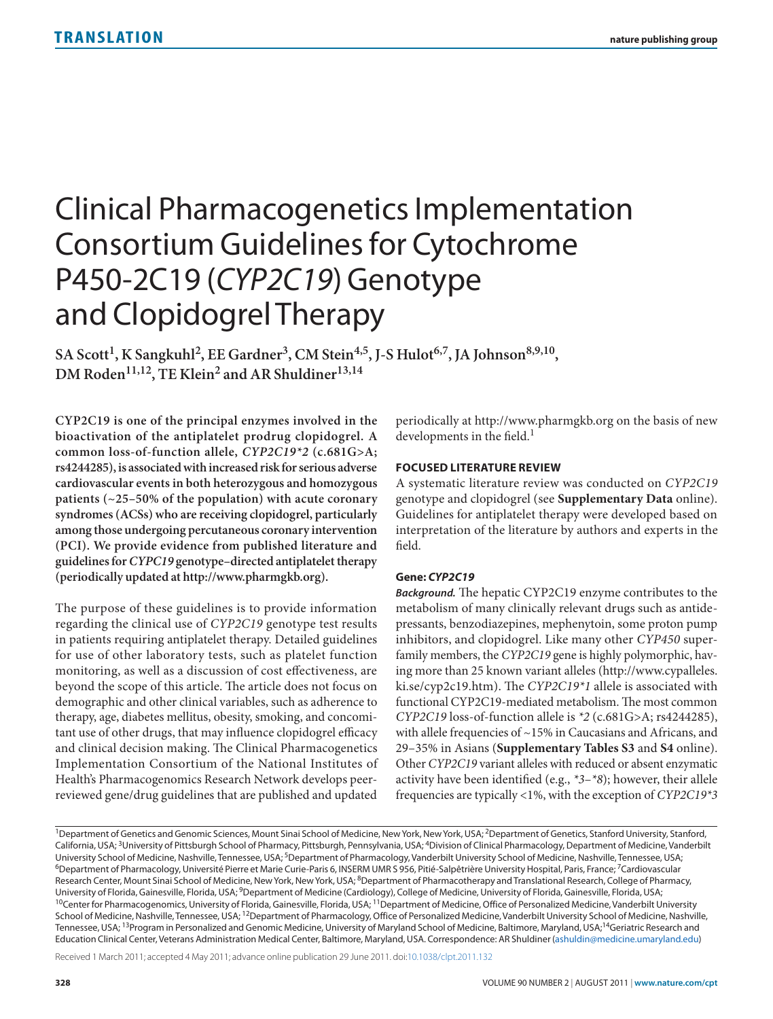# Clinical Pharmacogenetics Implementation Consortium Guidelines for Cytochrome P450-2C19 (*CYP2C19*) Genotype and Clopidogrel Therapy

SA Scott<sup>1</sup>, K Sangkuhl<sup>2</sup>, EE Gardner<sup>3</sup>, CM Stein<sup>4,5</sup>, J-S Hulot<sup>6,7</sup>, JA Johnson<sup>8,9,10</sup>, DM Roden<sup>11,12</sup>, TE Klein<sup>2</sup> and AR Shuldiner<sup>13,14</sup>

**CYP2C19 is one of the principal enzymes involved in the bioactivation of the antiplatelet prodrug clopidogrel. A common loss-of-function allele,** *CYP2C19\*2* **(c.681G>A; rs4244285), is associated with increased risk for serious adverse cardiovascular events in both heterozygous and homozygous patients (~25–50% of the population) with acute coronary syndromes (ACSs) who are receiving clopidogrel, particularly among those undergoing percutaneous coronary intervention (PCI). We provide evidence from published literature and guidelines for** *CYPC19* **genotype–directed antiplatelet therapy (periodically updated at http://www.pharmgkb.org).**

The purpose of these guidelines is to provide information regarding the clinical use of *CYP2C19* genotype test results in patients requiring antiplatelet therapy. Detailed guidelines for use of other laboratory tests, such as platelet function monitoring, as well as a discussion of cost effectiveness, are beyond the scope of this article. The article does not focus on demographic and other clinical variables, such as adherence to therapy, age, diabetes mellitus, obesity, smoking, and concomitant use of other drugs, that may influence clopidogrel efficacy and clinical decision making. The Clinical Pharmacogenetics Implementation Consortium of the National Institutes of Health's Pharmacogenomics Research Network develops peerreviewed gene/drug guidelines that are published and updated

periodically at http://www.pharmgkb.org on the basis of new developments in the field.<sup>1</sup>

## **Focused Literature Review**

A systematic literature review was conducted on *CYP2C19* genotype and clopidogrel (see **Supplementary Data** online). Guidelines for antiplatelet therapy were developed based on interpretation of the literature by authors and experts in the field.

## **Gene:** *CYP2C19*

*Background.* The hepatic CYP2C19 enzyme contributes to the metabolism of many clinically relevant drugs such as antidepressants, benzodiazepines, mephenytoin, some proton pump inhibitors, and clopidogrel. Like many other *CYP450* superfamily members, the *CYP2C19* gene is highly polymorphic, having more than 25 known variant alleles (http://www.cypalleles. ki.se/cyp2c19.htm). The *CYP2C19\*1* allele is associated with functional CYP2C19-mediated metabolism. The most common *CYP2C19* loss-of-function allele is *\*2* (c.681G>A; rs4244285), with allele frequencies of ~15% in Caucasians and Africans, and 29–35% in Asians (**Supplementary Tables S3** and **S4** online). Other *CYP2C19* variant alleles with reduced or absent enzymatic activity have been identified (e.g., *\*3*–*\*8*); however, their allele frequencies are typically <1%, with the exception of *CYP2C19\*3*

Received 1 March 2011; accepted 4 May 2011; advance online publication 29 June 2011. doi:[10.1038/clpt.2011.132](http://www.nature.com/doifinder/10.1038/clpt.2011.132)

<sup>&</sup>lt;sup>1</sup>Department of Genetics and Genomic Sciences, Mount Sinai School of Medicine, New York, New York, USA; <sup>2</sup>Department of Genetics, Stanford University, Stanford, California, USA; 3University of Pittsburgh School of Pharmacy, Pittsburgh, Pennsylvania, USA; 4Division of Clinical Pharmacology, Department of Medicine, Vanderbilt University School of Medicine, Nashville, Tennessee, USA; <sup>5</sup>Department of Pharmacology, Vanderbilt University School of Medicine, Nashville, Tennessee, USA;<br><sup>6</sup>Department of Pharmacology, Université Pierre et Marie Curie-Research Center, Mount Sinai School of Medicine, New York, New York, USA; <sup>8</sup>Department of Pharmacotherapy and Translational Research, College of Pharmacy, University of Florida, Gainesville, Florida, USA; <sup>9</sup>Department of Medicine (Cardiology), College of Medicine, University of Florida, Gainesville, Florida, USA;<br><sup>10</sup>Center for Pharmacogenomics, University of Florida, Gaine School of Medicine, Nashville, Tennessee, USA;<sup>12</sup>Department of Pharmacology, Office of Personalized Medicine, Vanderbilt University School of Medicine, Nashville, Tennessee, USA; <sup>13</sup>Program in Personalized and Genomic Medicine, University of Maryland School of Medicine, Baltimore, Maryland, USA;<sup>14</sup>Geriatric Research and Education Clinical Center, Veterans Administration Medical Center, Baltimore, Maryland, USA. Correspondence: AR Shuldiner ([ashuldin@medicine.umaryland.edu\)](mailto:ashuldin@medicine.umaryland.edu)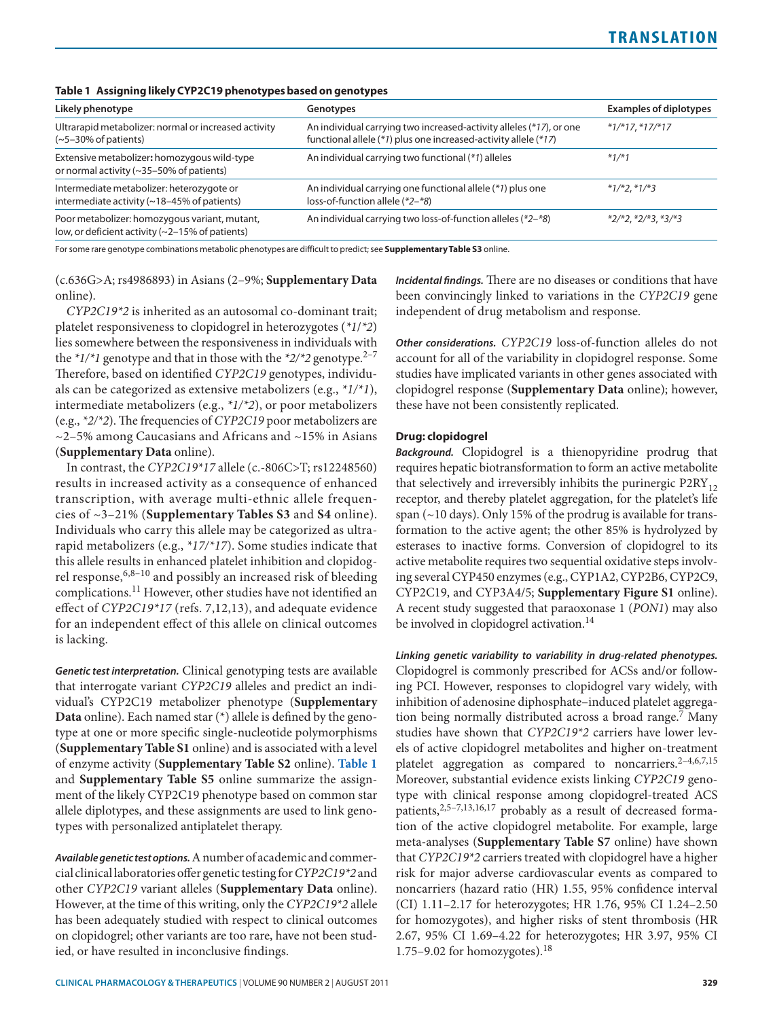|  |  | Table 1 Assigning likely CYP2C19 phenotypes based on genotypes |  |  |
|--|--|----------------------------------------------------------------|--|--|
|--|--|----------------------------------------------------------------|--|--|

| Likely phenotype                                                                                 | Genotypes                                                                                                                              | <b>Examples of diplotypes</b> |  |
|--------------------------------------------------------------------------------------------------|----------------------------------------------------------------------------------------------------------------------------------------|-------------------------------|--|
| Ultrarapid metabolizer: normal or increased activity<br>$(-5-30\%$ of patients)                  | An individual carrying two increased-activity alleles (*17), or one<br>functional allele (*1) plus one increased-activity allele (*17) | $*1/*17$ , $*17/*17$          |  |
| Extensive metabolizer: homozygous wild-type<br>or normal activity $(\sim]35-50\%$ of patients)   | An individual carrying two functional (*1) alleles                                                                                     | $*1/*1$                       |  |
| Intermediate metabolizer: heterozygote or<br>intermediate activity (~18-45% of patients)         | An individual carrying one functional allele (*1) plus one<br>loss-of-function allele (*2-*8)                                          | $*1/*2.*1/*3$                 |  |
| Poor metabolizer: homozygous variant, mutant,<br>low, or deficient activity (~2-15% of patients) | An individual carrying two loss-of-function alleles (*2–*8)                                                                            | $*2/*2, *2/*3, *3/*3$         |  |
|                                                                                                  |                                                                                                                                        |                               |  |

For some rare genotype combinations metabolic phenotypes are difficult to predict; see **Supplementary Table S3** online.

(c.636G>A; rs4986893) in Asians (2–9%; **Supplementary Data** online).

*CYP2C19\*2* is inherited as an autosomal co-dominant trait; platelet responsiveness to clopidogrel in heterozygotes (*\*1*/*\*2*) lies somewhere between the responsiveness in individuals with the  $*1/*1$  genotype and that in those with the  $*2/*2$  genotype.<sup>2-7</sup> Therefore, based on identified *CYP2C19* genotypes, individuals can be categorized as extensive metabolizers (e.g., *\*1/\*1*), intermediate metabolizers (e.g., *\*1/\*2*), or poor metabolizers (e.g., *\*2/\*2*). The frequencies of *CYP2C19* poor metabolizers are ~2–5% among Caucasians and Africans and ~15% in Asians (**Supplementary Data** online).

In contrast, the *CYP2C19\*17* allele (c.-806C>T; rs12248560) results in increased activity as a consequence of enhanced transcription, with average multi-ethnic allele frequencies of ~3–21% (**Supplementary Tables S3** and **S4** online). Individuals who carry this allele may be categorized as ultrarapid metabolizers (e.g., *\*17/\*17*). Some studies indicate that this allele results in enhanced platelet inhibition and clopidogrel response,  $6,8-10$  and possibly an increased risk of bleeding complications.11 However, other studies have not identified an effect of *CYP2C19\*17* (refs. 7,12,13), and adequate evidence for an independent effect of this allele on clinical outcomes is lacking.

*Genetic test interpretation.* Clinical genotyping tests are available that interrogate variant *CYP2C19* alleles and predict an individual's CYP2C19 metabolizer phenotype (**Supplementary Data** online). Each named star (\*) allele is defined by the genotype at one or more specific single-nucleotide polymorphisms (**Supplementary Table S1** online) and is associated with a level of enzyme activity (**Supplementary Table S2** online). **Table 1** and **Supplementary Table S5** online summarize the assignment of the likely CYP2C19 phenotype based on common star allele diplotypes, and these assignments are used to link genotypes with personalized antiplatelet therapy.

*Available genetic test options.* A number of academic and commercial clinical laboratories offer genetic testing for *CYP2C19\*2* and other *CYP2C19* variant alleles (**Supplementary Data** online). However, at the time of this writing, only the *CYP2C19\*2* allele has been adequately studied with respect to clinical outcomes on clopidogrel; other variants are too rare, have not been studied, or have resulted in inconclusive findings.

*Incidental findings.* There are no diseases or conditions that have been convincingly linked to variations in the *CYP2C19* gene independent of drug metabolism and response.

*Other considerations. CYP2C19* loss-of-function alleles do not account for all of the variability in clopidogrel response. Some studies have implicated variants in other genes associated with clopidogrel response (**Supplementary Data** online); however, these have not been consistently replicated.

### **Drug: clopidogrel**

*Background.* Clopidogrel is a thienopyridine prodrug that requires hepatic biotransformation to form an active metabolite that selectively and irreversibly inhibits the purinergic  $P2RY_{12}$ receptor, and thereby platelet aggregation, for the platelet's life span (~10 days). Only 15% of the prodrug is available for transformation to the active agent; the other 85% is hydrolyzed by esterases to inactive forms. Conversion of clopidogrel to its active metabolite requires two sequential oxidative steps involving several CYP450 enzymes (e.g., CYP1A2, CYP2B6, CYP2C9, CYP2C19, and CYP3A4/5; **Supplementary Figure S1** online). A recent study suggested that paraoxonase 1 (*PON1*) may also be involved in clopidogrel activation.<sup>14</sup>

*Linking genetic variability to variability in drug-related phenotypes.* Clopidogrel is commonly prescribed for ACSs and/or following PCI. However, responses to clopidogrel vary widely, with inhibition of adenosine diphosphate–induced platelet aggregation being normally distributed across a broad range.<sup>7</sup> Many studies have shown that *CYP2C19\*2* carriers have lower levels of active clopidogrel metabolites and higher on-treatment platelet aggregation as compared to noncarriers. $2-4,6,7,15$ Moreover, substantial evidence exists linking *CYP2C19* genotype with clinical response among clopidogrel-treated ACS patients,<sup>2,5-7,13,16,17</sup> probably as a result of decreased formation of the active clopidogrel metabolite. For example, large meta-analyses (**Supplementary Table S7** online) have shown that *CYP2C19\*2* carriers treated with clopidogrel have a higher risk for major adverse cardiovascular events as compared to noncarriers (hazard ratio (HR) 1.55, 95% confidence interval (CI) 1.11–2.17 for heterozygotes; HR 1.76, 95% CI 1.24–2.50 for homozygotes), and higher risks of stent thrombosis (HR 2.67, 95% CI 1.69–4.22 for heterozygotes; HR 3.97, 95% CI 1.75–9.02 for homozygotes).<sup>18</sup>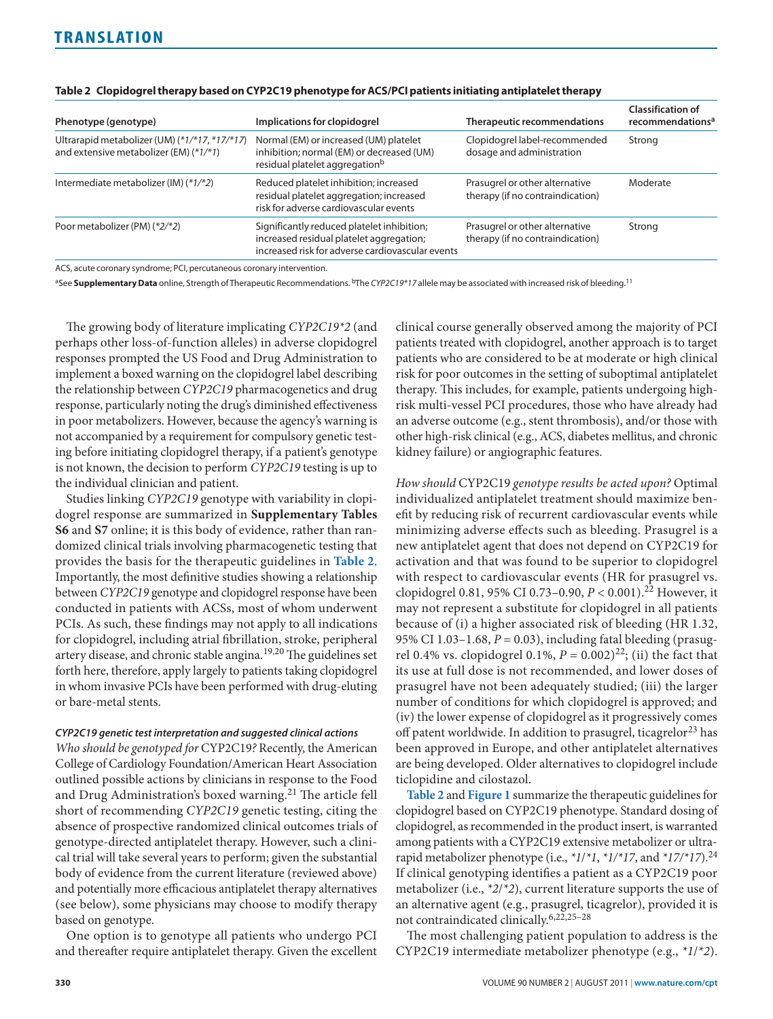| Phenotype (genotype)                                                                    | Implications for clopidogrel                                                                                                               | Therapeutic recommendations                                        | <b>Classification of</b><br>recommendations <sup>a</sup> |
|-----------------------------------------------------------------------------------------|--------------------------------------------------------------------------------------------------------------------------------------------|--------------------------------------------------------------------|----------------------------------------------------------|
| Ultrarapid metabolizer (UM) (*1/*17, *17/*17)<br>and extensive metabolizer (EM) (*1/*1) | Normal (EM) or increased (UM) platelet<br>inhibition; normal (EM) or decreased (UM)<br>residual platelet aggregation <sup>b</sup>          | Clopidogrel label-recommended<br>dosage and administration         | Strong                                                   |
| Intermediate metabolizer (IM) (*1/*2)                                                   | Reduced platelet inhibition; increased<br>residual platelet aggregation; increased<br>risk for adverse cardiovascular events               | Prasugrel or other alternative<br>therapy (if no contraindication) | Moderate                                                 |
| Poor metabolizer (PM) (*2/*2)                                                           | Significantly reduced platelet inhibition;<br>increased residual platelet aggregation;<br>increased risk for adverse cardiovascular events | Prasugrel or other alternative<br>therapy (if no contraindication) | Strong                                                   |

#### **Table 2 Clopidogrel therapy based on CYP2C19 phenotype for ACS/PCI patients initiating antiplatelet therapy**

ACS, acute coronary syndrome; PCI, percutaneous coronary intervention.

aSee Supplementary Data online, Strength of Therapeutic Recommendations. <sup>b</sup>The *CYP2C19\*17* allele may be associated with increased risk of bleeding.<sup>11</sup>

The growing body of literature implicating *CYP2C19\*2* (and perhaps other loss-of-function alleles) in adverse clopidogrel responses prompted the US Food and Drug Administration to implement a boxed warning on the clopidogrel label describing the relationship between *CYP2C19* pharmacogenetics and drug response, particularly noting the drug's diminished effectiveness in poor metabolizers. However, because the agency's warning is not accompanied by a requirement for compulsory genetic testing before initiating clopidogrel therapy, if a patient's genotype is not known, the decision to perform *CYP2C19* testing is up to the individual clinician and patient.

Studies linking *CYP2C19* genotype with variability in clopidogrel response are summarized in **Supplementary Tables S6** and **S7** online; it is this body of evidence, rather than randomized clinical trials involving pharmacogenetic testing that provides the basis for the therapeutic guidelines in **Table 2**. Importantly, the most definitive studies showing a relationship between *CYP2C19* genotype and clopidogrel response have been conducted in patients with ACSs, most of whom underwent PCIs. As such, these findings may not apply to all indications for clopidogrel, including atrial fibrillation, stroke, peripheral artery disease, and chronic stable angina.<sup>19,20</sup> The guidelines set forth here, therefore, apply largely to patients taking clopidogrel in whom invasive PCIs have been performed with drug-eluting or bare-metal stents.

#### *CYP2C19 genetic test interpretation and suggested clinical actions*

*Who should be genotyped for* CYP2C19*?* Recently, the American College of Cardiology Foundation/American Heart Association outlined possible actions by clinicians in response to the Food and Drug Administration's boxed warning.<sup>21</sup> The article fell short of recommending *CYP2C19* genetic testing, citing the absence of prospective randomized clinical outcomes trials of genotype-directed antiplatelet therapy. However, such a clinical trial will take several years to perform; given the substantial body of evidence from the current literature (reviewed above) and potentially more efficacious antiplatelet therapy alternatives (see below), some physicians may choose to modify therapy based on genotype.

One option is to genotype all patients who undergo PCI and thereafter require antiplatelet therapy. Given the excellent clinical course generally observed among the majority of PCI patients treated with clopidogrel, another approach is to target patients who are considered to be at moderate or high clinical risk for poor outcomes in the setting of suboptimal antiplatelet therapy. This includes, for example, patients undergoing highrisk multi-vessel PCI procedures, those who have already had an adverse outcome (e.g., stent thrombosis), and/or those with other high-risk clinical (e.g., ACS, diabetes mellitus, and chronic kidney failure) or angiographic features.

*How should* CYP2C19 *genotype results be acted upon?* Optimal individualized antiplatelet treatment should maximize benefit by reducing risk of recurrent cardiovascular events while minimizing adverse effects such as bleeding. Prasugrel is a new antiplatelet agent that does not depend on CYP2C19 for activation and that was found to be superior to clopidogrel with respect to cardiovascular events (HR for prasugrel vs. clopidogrel 0.81, 95% CI 0.73–0.90, *P* < 0.001).22 However, it may not represent a substitute for clopidogrel in all patients because of (i) a higher associated risk of bleeding (HR 1.32, 95% CI 1.03–1.68, *P* = 0.03), including fatal bleeding (prasugrel 0.4% vs. clopidogrel 0.1%,  $P = 0.002^{22}$ ; (ii) the fact that its use at full dose is not recommended, and lower doses of prasugrel have not been adequately studied; (iii) the larger number of conditions for which clopidogrel is approved; and (iv) the lower expense of clopidogrel as it progressively comes off patent worldwide. In addition to prasugrel, ticagrelor<sup>23</sup> has been approved in Europe, and other antiplatelet alternatives are being developed. Older alternatives to clopidogrel include ticlopidine and cilostazol.

**Table 2** and **[Figure](#page-3-0) 1** summarize the therapeutic guidelines for clopidogrel based on CYP2C19 phenotype. Standard dosing of clopidogrel, as recommended in the product insert, is warranted among patients with a CYP2C19 extensive metabolizer or ultrarapid metabolizer phenotype (i.e., *\*1*/*\*1*, *\*1/\*17*, and *\*17/\*17*).<sup>24</sup> If clinical genotyping identifies a patient as a CYP2C19 poor metabolizer (i.e., *\*2*/*\*2*), current literature supports the use of an alternative agent (e.g., prasugrel, ticagrelor), provided it is not contraindicated clinically.6,22,25–28

The most challenging patient population to address is the CYP2C19 intermediate metabolizer phenotype (e.g., *\*1*/*\*2*).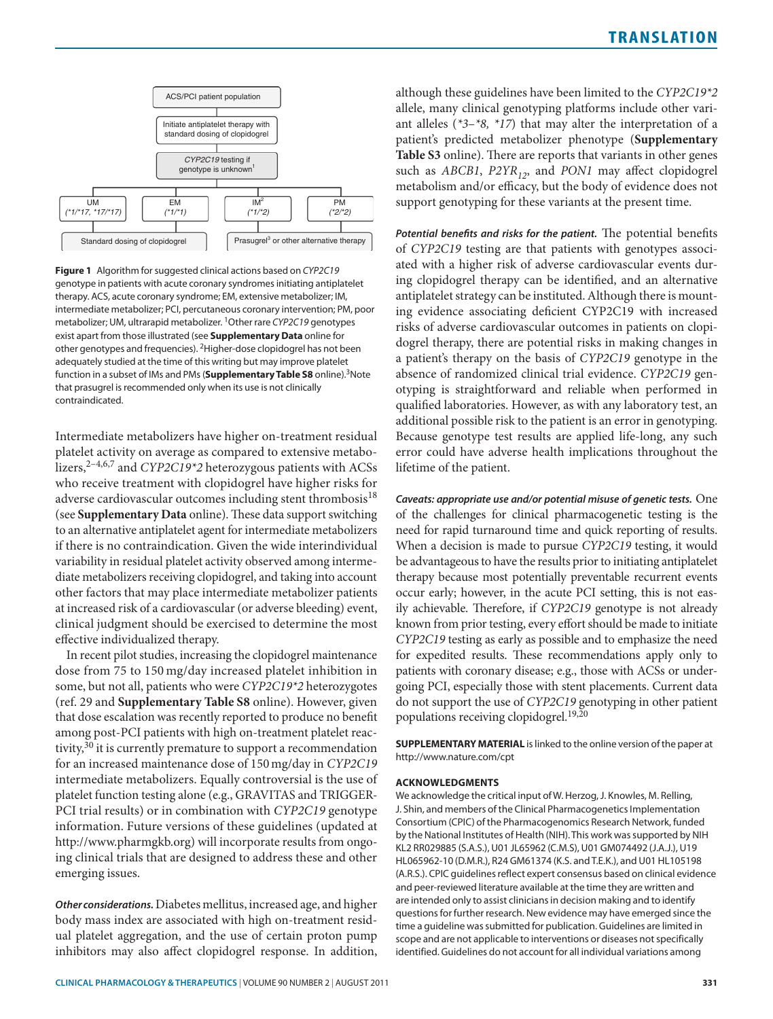<span id="page-3-0"></span>

**Figure 1** Algorithm for suggested clinical actions based on *CYP2C19* genotype in patients with acute coronary syndromes initiating antiplatelet therapy. ACS, acute coronary syndrome; EM, extensive metabolizer; IM, intermediate metabolizer; PCI, percutaneous coronary intervention; PM, poor metabolizer; UM, ultrarapid metabolizer. 1Other rare *CYP2C19* genotypes exist apart from those illustrated (see **Supplementary Data** online for other genotypes and frequencies). 2Higher-dose clopidogrel has not been adequately studied at the time of this writing but may improve platelet function in a subset of IMs and PMs (**Supplementary Table S8** online).<sup>3</sup>Note that prasugrel is recommended only when its use is not clinically contraindicated.

Intermediate metabolizers have higher on-treatment residual platelet activity on average as compared to extensive metabolizers,<sup>2-4,6,7</sup> and *CYP2C19\*2* heterozygous patients with ACSs who receive treatment with clopidogrel have higher risks for adverse cardiovascular outcomes including stent thrombosis<sup>18</sup> (see **Supplementary Data** online). These data support switching to an alternative antiplatelet agent for intermediate metabolizers if there is no contraindication. Given the wide interindividual variability in residual platelet activity observed among intermediate metabolizers receiving clopidogrel, and taking into account other factors that may place intermediate metabolizer patients at increased risk of a cardiovascular (or adverse bleeding) event, clinical judgment should be exercised to determine the most effective individualized therapy.

In recent pilot studies, increasing the clopidogrel maintenance dose from 75 to 150 mg/day increased platelet inhibition in some, but not all, patients who were *CYP2C19\*2* heterozygotes (ref. 29 and **Supplementary Table S8** online). However, given that dose escalation was recently reported to produce no benefit among post-PCI patients with high on-treatment platelet reactivity, $30$  it is currently premature to support a recommendation for an increased maintenance dose of 150 mg/day in *CYP2C19* intermediate metabolizers. Equally controversial is the use of platelet function testing alone (e.g., GRAVITAS and TRIGGER-PCI trial results) or in combination with *CYP2C19* genotype information. Future versions of these guidelines (updated at http://www.pharmgkb.org) will incorporate results from ongoing clinical trials that are designed to address these and other emerging issues.

*Other considerations.* Diabetes mellitus, increased age, and higher body mass index are associated with high on-treatment residual platelet aggregation, and the use of certain proton pump inhibitors may also affect clopidogrel response. In addition,

although these guidelines have been limited to the *CYP2C19\*2* allele, many clinical genotyping platforms include other variant alleles (*\*3*–*\*8, \*17*) that may alter the interpretation of a patient's predicted metabolizer phenotype (**Supplementary Table S3** online). There are reports that variants in other genes such as *ABCB1*, *P2YR<sub>12</sub>*, and *PON1* may affect clopidogrel metabolism and/or efficacy, but the body of evidence does not support genotyping for these variants at the present time.

*Potential benefits and risks for the patient.* The potential benefits of *CYP2C19* testing are that patients with genotypes associated with a higher risk of adverse cardiovascular events during clopidogrel therapy can be identified, and an alternative antiplatelet strategy can be instituted. Although there is mounting evidence associating deficient CYP2C19 with increased risks of adverse cardiovascular outcomes in patients on clopidogrel therapy, there are potential risks in making changes in a patient's therapy on the basis of *CYP2C19* genotype in the absence of randomized clinical trial evidence. *CYP2C19* genotyping is straightforward and reliable when performed in qualified laboratories. However, as with any laboratory test, an additional possible risk to the patient is an error in genotyping. Because genotype test results are applied life-long, any such error could have adverse health implications throughout the lifetime of the patient.

*Caveats: appropriate use and/or potential misuse of genetic tests.* One of the challenges for clinical pharmacogenetic testing is the need for rapid turnaround time and quick reporting of results. When a decision is made to pursue *CYP2C19* testing, it would be advantageous to have the results prior to initiating antiplatelet therapy because most potentially preventable recurrent events occur early; however, in the acute PCI setting, this is not easily achievable. Therefore, if *CYP2C19* genotype is not already known from prior testing, every effort should be made to initiate *CYP2C19* testing as early as possible and to emphasize the need for expedited results. These recommendations apply only to patients with coronary disease; e.g., those with ACSs or undergoing PCI, especially those with stent placements. Current data do not support the use of *CYP2C19* genotyping in other patient populations receiving clopidogrel.19,20

**SUPPLEMENTARY MATERIAL** is linked to the online version of the paper at http://www.nature.com/cpt

#### **Acknowledgments**

We acknowledge the critical input of W. Herzog, J. Knowles, M. Relling, J. Shin, and members of the Clinical Pharmacogenetics Implementation Consortium (CPIC) of the Pharmacogenomics Research Network, funded by the National Institutes of Health (NIH). This work was supported by NIH KL2 RR029885 (S.A.S.), U01 JL65962 (C.M.S), U01 GM074492 (J.A.J.), U19 HL065962-10 (D.M.R.), R24 GM61374 (K.S. and T.E.K.), and U01 HL105198 (A.R.S.). CPIC guidelines reflect expert consensus based on clinical evidence and peer-reviewed literature available at the time they are written and are intended only to assist clinicians in decision making and to identify questions for further research. New evidence may have emerged since the time a guideline was submitted for publication. Guidelines are limited in scope and are not applicable to interventions or diseases not specifically identified. Guidelines do not account for all individual variations among